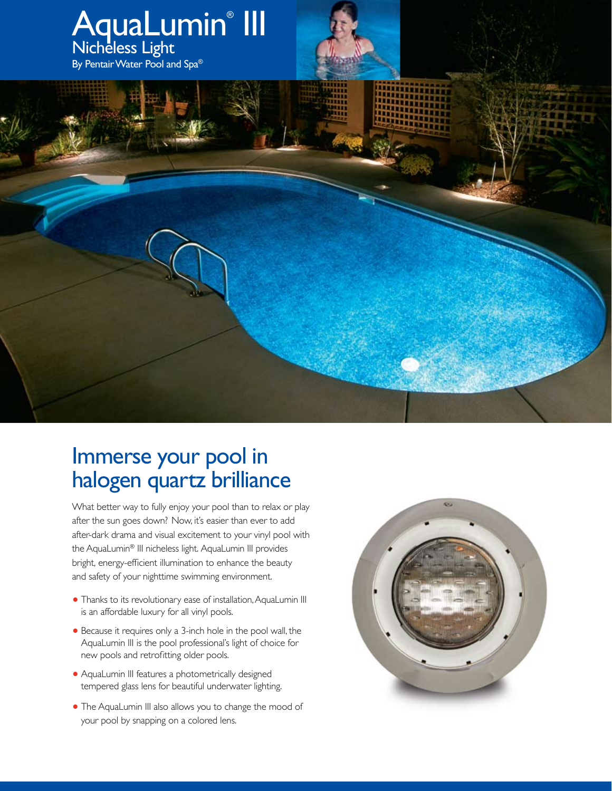

## Immerse your pool in halogen quartz brilliance

What better way to fully enjoy your pool than to relax or play after the sun goes down? Now, it's easier than ever to add after-dark drama and visual excitement to your vinyl pool with the AquaLumin® III nicheless light. AquaLumin III provides bright, energy-efficient illumination to enhance the beauty and safety of your nighttime swimming environment.

- **•** Thanks to its revolutionary ease of installation, AquaLumin III is an affordable luxury for all vinyl pools.
- **•** Because it requires only a 3-inch hole in the pool wall, the AquaLumin III is the pool professional's light of choice for new pools and retrofitting older pools.
- **•** AquaLumin III features a photometrically designed tempered glass lens for beautiful underwater lighting.
- **•** The AquaLumin III also allows you to change the mood of your pool by snapping on a colored lens.